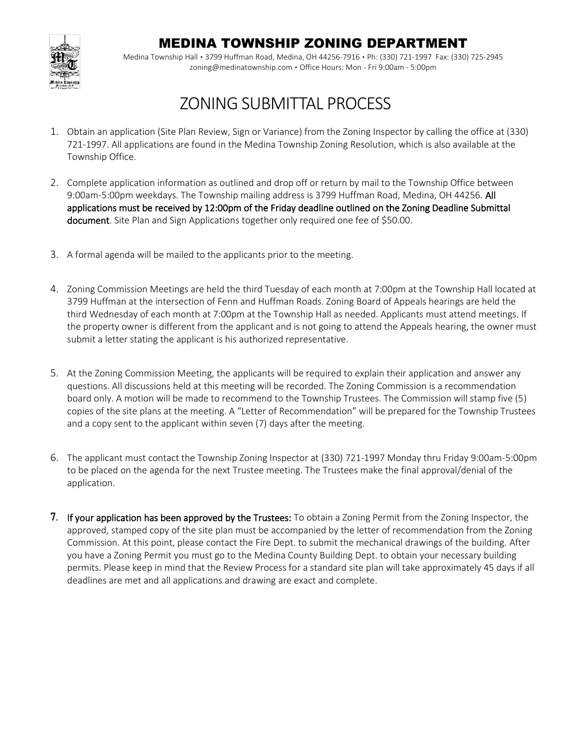## MEDINA TOWNSHIP ZONING DEPARTMENT



Medina Township Hall ▪ 3799 Huffman Road, Medina, OH 44256-7916 ▪ Ph: (330) 721-1997 Fax: (330) 725-2945 zoning@medinatownship.com ▪ Office Hours: Mon - Fri 9:00am - 5:00pm

## ZONING SUBMITTAL PROCESS

- 1. Obtain an application (Site Plan Review, Sign or Variance) from the Zoning Inspector by calling the office at (330) 721-1997. All applications are found in the Medina Township Zoning Resolution, which is also available at the Township Office.
- 2. Complete application information as outlined and drop off or return by mail to the Township Office between 9:00am-5:00pm weekdays. The Township mailing address is 3799 Huffman Road, Medina, OH 44256. All applications must be received by 12:00pm of the Friday deadline outlined on the Zoning Deadline Submittal document. Site Plan and Sign Applications together only required one fee of \$50.00.
- 3. A formal agenda will be mailed to the applicants prior to the meeting.
- 4. Zoning Commission Meetings are held the third Tuesday of each month at 7:00pm at the Township Hall located at 3799 Huffman at the intersection of Fenn and Huffman Roads. Zoning Board of Appeals hearings are held the third Wednesday of each month at 7:00pm at the Township Hall as needed. Applicants must attend meetings. If the property owner is different from the applicant and is not going to attend the Appeals hearing, the owner must submit a letter stating the applicant is his authorized representative.
- 5. At the Zoning Commission Meeting, the applicants will be required to explain their application and answer any questions. All discussions held at this meeting will be recorded. The Zoning Commission is a recommendation board only. A motion will be made to recommend to the Township Trustees. The Commission will stamp five (5) copies of the site plans at the meeting. A "Letter of Recommendation" will be prepared for the Township Trustees and a copy sent to the applicant within seven (7) days after the meeting.
- 6. The applicant must contact the Township Zoning Inspector at (330) 721-1997 Monday thru Friday 9:00am-5:00pm to be placed on the agenda for the next Trustee meeting. The Trustees make the final approval/denial of the application.
- 7. If your application has been approved by the Trustees: To obtain a Zoning Permit from the Zoning Inspector, the approved, stamped copy of the site plan must be accompanied by the letter of recommendation from the Zoning Commission. At this point, please contact the Fire Dept. to submit the mechanical drawings of the building. After you have a Zoning Permit you must go to the Medina County Building Dept. to obtain your necessary building permits. Please keep in mind that the Review Process for a standard site plan will take approximately 45 days if all deadlines are met and all applications and drawing are exact and complete.